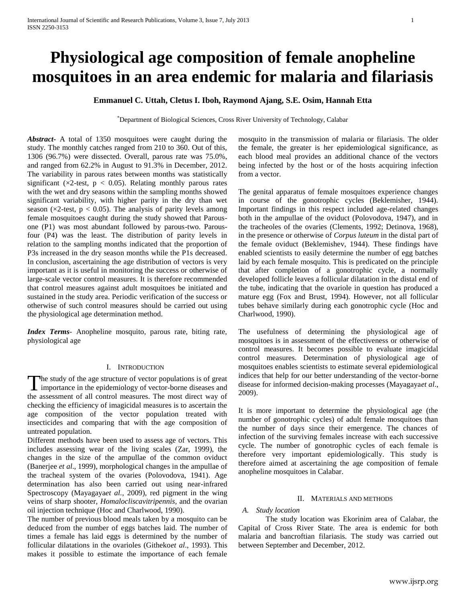# **Physiological age composition of female anopheline mosquitoes in an area endemic for malaria and filariasis**

# **Emmanuel C. Uttah, Cletus I. Iboh, Raymond Ajang, S.E. Osim, Hannah Etta**

\*Department of Biological Sciences, Cross River University of Technology, Calabar

*Abstract***-** A total of 1350 mosquitoes were caught during the study. The monthly catches ranged from 210 to 360. Out of this, 1306 (96.7%) were dissected. Overall, parous rate was 75.0%, and ranged from 62.2% in August to 91.3% in December, 2012. The variability in parous rates between months was statistically significant ( $\times$ 2-test, p < 0.05). Relating monthly parous rates with the wet and dry seasons within the sampling months showed significant variability, with higher parity in the dry than wet season ( $\times$ 2-test,  $p < 0.05$ ). The analysis of parity levels among female mosquitoes caught during the study showed that Parousone (P1) was most abundant followed by parous-two. Parousfour (P4) was the least. The distribution of parity levels in relation to the sampling months indicated that the proportion of P3s increased in the dry season months while the P1s decreased. In conclusion, ascertaining the age distribution of vectors is very important as it is useful in monitoring the success or otherwise of large-scale vector control measures. It is therefore recommended that control measures against adult mosquitoes be initiated and sustained in the study area. Periodic verification of the success or otherwise of such control measures should be carried out using the physiological age determination method.

*Index Terms*- Anopheline mosquito, parous rate, biting rate, physiological age

#### I. INTRODUCTION

The study of the age structure of vector populations is of great The study of the age structure of vector populations is of great<br>importance in the epidemiology of vector-borne diseases and the assessment of all control measures. The most direct way of checking the efficiency of imagicidal measures is to ascertain the age composition of the vector population treated with insecticides and comparing that with the age composition of untreated population.

Different methods have been used to assess age of vectors. This includes assessing wear of the living scales (Zar, 1999), the changes in the size of the ampullae of the common oviduct (Banerjee *et al*., 1999), morphological changes in the ampullae of the tracheal system of the ovaries (Polovodova, 1941). Age determination has also been carried out using near-infrared Spectroscopy (Mayagaya*et al.,* 2009), red pigment in the wing veins of sharp shooter, *Homalocliscavitripennis*, and the ovarian oil injection technique (Hoc and Charlwood, 1990).

The number of previous blood meals taken by a mosquito can be deduced from the number of eggs batches laid. The number of times a female has laid eggs is determined by the number of follicular dilatations in the ovarioles (Githeko*et al*., 1993). This makes it possible to estimate the importance of each female

mosquito in the transmission of malaria or filariasis. The older the female, the greater is her epidemiological significance, as each blood meal provides an additional chance of the vectors being infected by the host or of the hosts acquiring infection from a vector.

The genital apparatus of female mosquitoes experience changes in course of the gonotrophic cycles (Beklemisher, 1944). Important findings in this respect included age-related changes both in the ampullae of the oviduct (Polovodova, 1947), and in the tracheoles of the ovaries (Clements, 1992; Detinova, 1968), in the presence or otherwise of *Corpus luteum* in the distal part of the female oviduct (Beklemishev, 1944). These findings have enabled scientists to easily determine the number of egg batches laid by each female mosquito. This is predicated on the principle that after completion of a gonotrophic cycle, a normally developed follicle leaves a follicular dilatation in the distal end of the tube, indicating that the ovariole in question has produced a mature egg (Fox and Brust, 1994). However, not all follicular tubes behave similarly during each gonotrophic cycle (Hoc and Charlwood, 1990).

The usefulness of determining the physiological age of mosquitoes is in assessment of the effectiveness or otherwise of control measures. It becomes possible to evaluate imagicidal control measures. Determination of physiological age of mosquitoes enables scientists to estimate several epidemiological indices that help for our better understanding of the vector-borne disease for informed decision-making processes (Mayagaya*et al*., 2009).

It is more important to determine the physiological age (the number of gonotrophic cycles) of adult female mosquitoes than the number of days since their emergence. The chances of infection of the surviving females increase with each successive cycle. The number of gonotrophic cycles of each female is therefore very important epidemiologically. This study is therefore aimed at ascertaining the age composition of female anopheline mosquitoes in Calabar.

#### II. MATERIALS AND METHODS

# *A. Study location*

The study location was Ekorinim area of Calabar, the Capital of Cross River State. The area is endemic for both malaria and bancroftian filariasis. The study was carried out between September and December, 2012.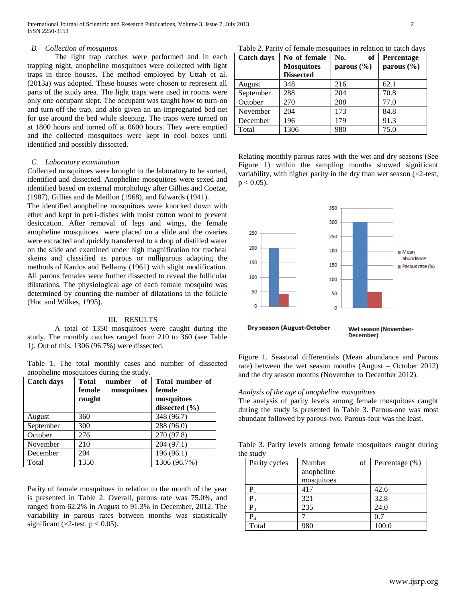## *B. Collection of mosquitos*

The light trap catches were performed and in each trapping night, anopheline mosquitoes were collected with light traps in three houses. The method employed by Uttah et al. (2013a) was adopted. These houses were chosen to represent all parts of the study area. The light traps were used in rooms were only one occupant slept. The occupant was taught how to turn-on and turn-off the trap, and also given an un-impregnated bed-net for use around the bed while sleeping. The traps were turned on at 1800 hours and turned off at 0600 hours. They were emptied and the collected mosquitoes were kept in cool boxes until identified and possibly dissected.

#### *C. Laboratory examination*

Collected mosquitoes were brought to the laboratory to be sorted, identified and dissected. Anopheline mosquitoes were sexed and identified based on external morphology after Gillies and Coetze, (1987), Gillies and de Meillon (1968), and Edwards (1941).

The identified anopheline mosquitoes were knocked down with ether and kept in petri-dishes with moist cotton wool to prevent desiccation. After removal of legs and wings, the female anopheline mosquitoes were placed on a slide and the ovaries were extracted and quickly transferred to a drop of distilled water on the slide and examined under high magnification for tracheal skeins and classified as parous or nulliparous adapting the methods of Kardos and Bellamy (1961) with slight modification. All parous females were further dissected to reveal the follicular dilatations. The physiological age of each female mosquito was determined by counting the number of dilatations in the follicle (Hoc and Wilkes, 1995).

#### III. RESULTS

A total of 1350 mosquitoes were caught during the study. The monthly catches ranged from 210 to 360 (see Table 1). Out of this, 1306 (96.7%) were dissected.

Table 1. The total monthly cases and number of dissected anopheline mosquitoes during the study.

| <b>Catch days</b> | <b>Total</b><br>оf<br>number<br>female<br>mosquitoes<br>caught | Total number of<br>female<br>mosquitoes<br>dissected $(\% )$ |
|-------------------|----------------------------------------------------------------|--------------------------------------------------------------|
| August            | 360                                                            | 348 (96.7)                                                   |
| September         | 300                                                            | 288 (96.0)                                                   |
| October           | 276                                                            | 270 (97.8)                                                   |
| November          | 210                                                            | 204 (97.1)                                                   |
| December          | 204                                                            | 196 (96.1)                                                   |
| Total             | 1350                                                           | 1306 (96.7%)                                                 |

Parity of female mosquitoes in relation to the month of the year is presented in Table 2. Overall, parous rate was 75.0%, and ranged from 62.2% in August to 91.3% in December, 2012. The variability in parous rates between months was statistically significant ( $\times$ 2-test, p < 0.05).

Table 2. Parity of female mosquitoes in relation to catch days

| <b>Catch days</b> | No of female      | No.<br>of      | Percentage     |  |
|-------------------|-------------------|----------------|----------------|--|
|                   | <b>Mosquitoes</b> | parous $(\% )$ | parous $(\% )$ |  |
|                   | <b>Dissected</b>  |                |                |  |
| August            | 348               | 216            | 62.1           |  |
| September         | 288               | 204            | 70.8           |  |
| October           | 270               | 208            | 77.0           |  |
| November          | 204               | 173            | 84.8           |  |
| December          | 196               | 179            | 91.3           |  |
| Total             | 1306              | 980            | 75.0           |  |

Relating monthly parous rates with the wet and dry seasons (See Figure 1) within the sampling months showed significant variability, with higher parity in the dry than wet season  $(\times 2$ -test,  $p < 0.05$ ).



Figure 1. Seasonal differentials (Mean abundance and Parous rate) between the wet season months (August – October 2012) and the dry season months (November to December 2012).

#### *Analysis of the age of anopheline mosquitoes*

The analysis of parity levels among female mosquitoes caught during the study is presented in Table 3. Parous-one was most abundant followed by parous-two. Parous-four was the least.

Table 3. Parity levels among female mosquitoes caught during the study

| Parity cycles    | of<br>Number |  | Percentage $(\%)$ |  |
|------------------|--------------|--|-------------------|--|
|                  | anopheline   |  |                   |  |
|                  | mosquitoes   |  |                   |  |
| Р,               | 417          |  | 42.6              |  |
| p,               | 321          |  | 32.8              |  |
| $\rm P_{3}$      | 235          |  | 24.0              |  |
| $\mathrm{P}_{4}$ |              |  | 0.7               |  |
| Total            | 980          |  | 100.0             |  |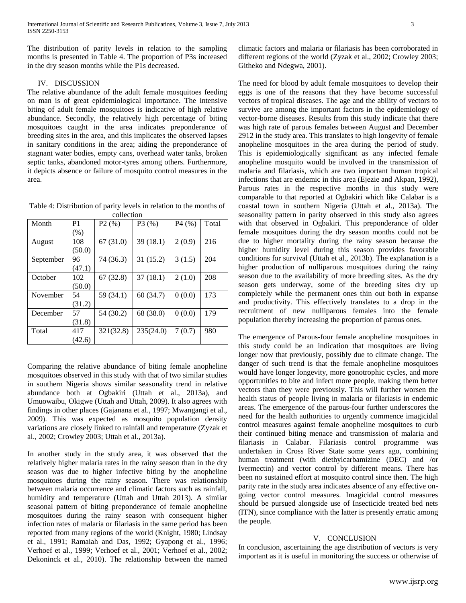The distribution of parity levels in relation to the sampling months is presented in Table 4. The proportion of P3s increased in the dry season months while the P1s decreased.

# IV. DISCUSSION

The relative abundance of the adult female mosquitoes feeding on man is of great epidemiological importance. The intensive biting of adult female mosquitoes is indicative of high relative abundance. Secondly, the relatively high percentage of biting mosquitoes caught in the area indicates preponderance of breeding sites in the area, and this implicates the observed lapses in sanitary conditions in the area; aiding the preponderance of stagnant water bodies, empty cans, overhead water tanks, broken septic tanks, abandoned motor-tyres among others. Furthermore, it depicts absence or failure of mosquito control measures in the area.

Table 4: Distribution of parity levels in relation to the months of collection

| Month     | P1     | P2(%)     | P3(%)     | P4(%)  | Total |  |  |
|-----------|--------|-----------|-----------|--------|-------|--|--|
|           | (% )   |           |           |        |       |  |  |
| August    | 108    | 67(31.0)  | 39(18.1)  | 2(0.9) | 216   |  |  |
|           | (50.0) |           |           |        |       |  |  |
| September | 96     | 74 (36.3) | 31(15.2)  | 3(1.5) | 204   |  |  |
|           | (47.1) |           |           |        |       |  |  |
| October   | 102    | 67(32.8)  | 37(18.1)  | 2(1.0) | 208   |  |  |
|           | (50.0) |           |           |        |       |  |  |
| November  | 54     | 59 (34.1) | 60(34.7)  | 0(0.0) | 173   |  |  |
|           | (31.2) |           |           |        |       |  |  |
| December  | 57     | 54 (30.2) | 68 (38.0) | 0(0.0) | 179   |  |  |
|           | (31.8) |           |           |        |       |  |  |
| Total     | 417    | 321(32.8) | 235(24.0) | 7(0.7) | 980   |  |  |
|           | (42.6) |           |           |        |       |  |  |

Comparing the relative abundance of biting female anopheline mosquitoes observed in this study with that of two similar studies in southern Nigeria shows similar seasonality trend in relative abundance both at Ogbakiri (Uttah et al., 2013a), and Umuowaibu, Okigwe (Uttah and Uttah, 2009). It also agrees with findings in other places (Gajanana et al., 1997; Mwangangi et al., 2009). This was expected as mosquito population density variations are closely linked to rainfall and temperature (Zyzak et al., 2002; Crowley 2003; Uttah et al., 2013a).

In another study in the study area, it was observed that the relatively higher malaria rates in the rainy season than in the dry season was due to higher infective biting by the anopheline mosquitoes during the rainy season. There was relationship between malaria occurrence and climatic factors such as rainfall, humidity and temperature (Uttah and Uttah 2013). A similar seasonal pattern of biting preponderance of female anopheline mosquitoes during the rainy season with consequent higher infection rates of malaria or filariasis in the same period has been reported from many regions of the world (Knight, 1980; Lindsay et al., 1991; Ramaiah and Das, 1992; Gyapong et al., 1996; Verhoef et al., 1999; Verhoef et al., 2001; Verhoef et al., 2002; Dekoninck et al., 2010). The relationship between the named

climatic factors and malaria or filariasis has been corroborated in different regions of the world (Zyzak et al., 2002; Crowley 2003; Githeko and Ndegwa, 2001).

The need for blood by adult female mosquitoes to develop their eggs is one of the reasons that they have become successful vectors of tropical diseases. The age and the ability of vectors to survive are among the important factors in the epidemiology of vector-borne diseases. Results from this study indicate that there was high rate of parous females between August and December 2912 in the study area. This translates to high longevity of female anopheline mosquitoes in the area during the period of study. This is epidemiologically significant as any infected female anopheline mosquito would be involved in the transmission of malaria and filariasis, which are two important human tropical infections that are endemic in this area (Ejezie and Akpan, 1992), Parous rates in the respective months in this study were comparable to that reported at Ogbakiri which like Calabar is a coastal town in southern Nigeria (Uttah et al., 2013a). The seasonality pattern in parity observed in this study also agrees with that observed in Ogbakiri. This preponderance of older female mosquitoes during the dry season months could not be due to higher mortality during the rainy season because the higher humidity level during this season provides favorable conditions for survival (Uttah et al., 2013b). The explanation is a higher production of nulliparous mosquitoes during the rainy season due to the availability of more breeding sites. As the dry season gets underway, some of the breeding sites dry up completely while the permanent ones thin out both in expanse and productivity. This effectively translates to a drop in the recruitment of new nulliparous females into the female population thereby increasing the proportion of parous ones.

The emergence of Parous-four female anopheline mosquitoes in this study could be an indication that mosquitoes are living longer now that previously, possibly due to climate change. The danger of such trend is that the female anopheline mosquitoes would have longer longevity, more gonotrophic cycles, and more opportunities to bite and infect more people, making them better vectors than they were previously. This will further worsen the health status of people living in malaria or filariasis in endemic areas. The emergence of the parous-four further underscores the need for the health authorities to urgently commence imagicidal control measures against female anopheline mosquitoes to curb their continued biting menace and transmission of malaria and filariasis in Calabar. Filariasis control programme was undertaken in Cross River State some years ago, combining human treatment (with diethylcarbamizine (DEC) and /or Ivermectin) and vector control by different means. There has been no sustained effort at mosquito control since then. The high parity rate in the study area indicates absence of any effective ongoing vector control measures. Imagicidal control measures should be pursued alongside use of Insecticide treated bed nets (ITN), since compliance with the latter is presently erratic among the people.

#### V. CONCLUSION

In conclusion, ascertaining the age distribution of vectors is very important as it is useful in monitoring the success or otherwise of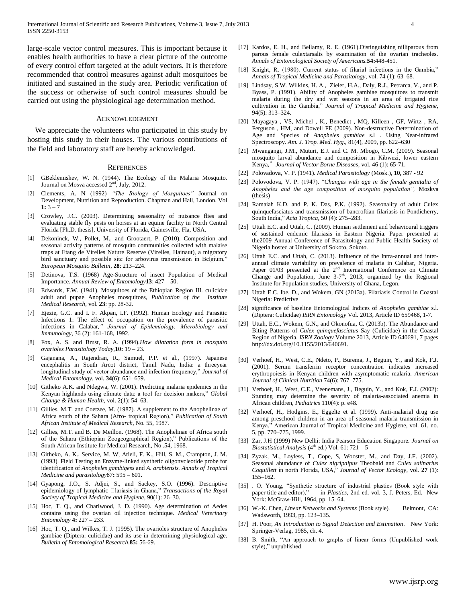large-scale vector control measures. This is important because it enables health authorities to have a clear picture of the outcome of every control effort targeted at the adult vectors. It is therefore recommended that control measures against adult mosquitoes be initiated and sustained in the study area. Periodic verification of the success or otherwise of such control measures should be carried out using the physiological age determination method.

#### ACKNOWLEDGMENT

We appreciate the volunteers who participated in this study by hosting this study in their houses. The various contributions of the field and laboratory staff are hereby acknowledged.

#### **REFERENCES**

- [1] GBeklemishev, W. N. (1944). The Ecology of the Malaria Mosquito. Journal on Mosva accessed 2nd, July, 2012.
- [2] Clements, A. N (1992) *"The Biology of Mosquitoes"* Journal on Development, Nutrition and Reproduction. Chapman and Hall, London. Vol 1:  $3 - 7$
- [3] Crowley, J.C. (2003). Determining seasonality of nuisance flies and evaluating stable fly pests on horses at an equine facility in North Central Florida [Ph.D. thesis], University of Florida, Gainesville, Fla, USA.
- [4] Dekoninck, W., Pollet, M., and Grootaert, P. (2010). Composition and seasonal activity patterns of mosquito communities collected with malaise traps at Etang de Virelles Nature Reserve (Virelles, Hainaut), a migratory bird sanctuary and possible site for arbovirus transmission in Belgium," *European Mosquito Bulletin*, **28**: 213–224.
- [5] Detinova, T.S. (1968) Age-Structure of insect Population of Medical Importance. *Annual Review of Entomology***13**: 427 – 50.
- [6] Edwards, F.W. (1941). Mosquitoes of the Ethiopian Region III. culicidae adult and pupae Anopheles mosquitoes, *Publication of the Institute Medical Research*, vol. **23**: pp. 28-32.
- Ejezie, G.C. and I. F. Akpan, I.F. (1992). Human Ecology and Parasitic Infections 1: The effect of occupation on the prevalence of parasitic infections in Calabar*," Journal of Epidemiology, Microbiology and Immunology,* 36 (2): 161-168, 1992.
- [8] Fox, A. S. and Brust, R. A. (1994).*How dilatation form in mosquito ovarioles Parasitology Today,***10:** 19 – 23.
- [9] Gajanana, A., Rajendran, R., Samuel, P.P. et al., (1997). Japanese encephalitis in South Arcot district, Tamil Nadu, India: a threeyear longitudinal study of vector abundance and infection frequency," *Journal of Medical Entomology*, vol. **34**(6): 651–659.
- [10] Githeko A.K. and Ndegwa, W. (2001). Predicting malaria epidemics in the Kenyan highlands using climate data: a tool for decision makers," Global *Change & Human Health*, vol. 2(1): 54–63.
- [11] Gillies, M.T. and Coetzee, M. (1987). A supplement to the Anophelinae of Africa south of the Sahara (Afro- tropical Region)," *Publication of South African Institute of Medical Research,* No. 55, 1987.
- [12] Gillies, M.T. and B. De Meillon. (1968). The Anophelinae of Africa south of the Sahara (Ethiopian Zoogeographical Region)," Publications of the South African Institute for Medical Research, No .54, 1968.
- [13] Githeko, A. K., Service, M. W. Atieli, F. K., Hill, S. M., Crampton, J. M. (1993). Field Testing an Enzyme-linked synthetic oligonvcleotide probe for identification of *Anopheles gambigess* and *A. arabiensis. Annals of Tropical Medicine and parasitology*87**:** 595 – 601.
- [14] Gyapong, J.O., S. Adjei, S., and Sackey, S.O. (1996). Descriptive epidemiology of lymphatic **Clariasis** in Ghana," *Transactions of the Royal Society of Tropical Medicine and Hygiene*, 90(1): 26–30.
- [15] Hoc, T. Q., and Charlwood, J. D. (1990). Age determination of Aedes contains using the ovarian oil injection technique. *Medical Veterinary Entomology* **4:** 227 – 233.
- [16] Hoc, T. Q., and Wilkes, T. J. (1995). The ovarioles structure of Anopheles gambiae (Diptera: culicidae) and its use in determining physiological age. *Bulletin of Entomological Research*.**85:** 56-69.
- [17] Kardos, E. H., and Bellamy, R. E. (1961).Distinguishing nilliparous from parous female culextarsalis by examination of the ovarian tracheoles. *Annals of Entomological Society of Americans.***54:**448-451.
- [18] Knight, R. (1980). Current status of filarial infections in the Gambia," *Annals of Tropical Medicine and Parasitology*, vol. 74 (1): 63–68.
- [19] Lindsay, S.W. Wilkins, H. A., Zieler, H.A., Daly, R.J., Petrarca, V., and P. Byass, P. (1991). Ability of Anopheles gambiae mosquitoes to transmit malaria during the dry and wet seasons in an area of irrigated rice cultivation in the Gambia," *Journal of Tropical Medicine and Hygiene*, 94(5): 313–324.
- [20] Mayagaya , VS, Michel , K., Benedict , MQ, Killeen , GF, Wirtz , RA, Ferguson , HM, and Dowell FE (2009). Non-destructive Determination of Age and Species of *Anopheles gambiae* s.l . Using Near-infrared Spectroscopy. *Am. J. Trop. Med. Hyg*., 81(4), 2009, pp. 622–630
- [21] Mwangangi, J.M., Muturi, E.J. and C. M. Mbogo, C.M. (2009). Seasonal mosquito larval abundance and composition in Kibwezi, lower eastern Kenya,"*Journal of Vector Borne Diseases*, vol. 46 (1): 65-71.
- [22] Polovadova, V. P. (1941). *Medical Parasitology* (Mosk.), **10,** 387 92
- [23] Polovodova, V. P. (1947). "Changes with age in the female genitalia of *Anopheles and the age composition of mosquito population",* Moskva (thesis)
- [24] Ramaiah K.D. and P. K. Das, P.K. (1992). Seasonality of adult Culex quinquefasciatus and transmission of bancroftian filariasis in Pondicherry, South India,‖ *Acta Tropica*, 50 (4): 275–283.
- [25] Uttah E.C. and Uttah, C. (2009). Human settlement and behavioural triggers of sustained endemic filariasis in Eastern Nigeria. Paper presented at the2009 Annual Conference of Parasitology and Public Health Society of Nigeria hosted at University of Sokoto, Sokoto.
- [26] Uttah E.C. and Uttah, C. (2013). Influence of the Intra-annual and interannual climate variability on prevalence of malaria in Calabar, Nigeria. Paper  $01/03$  presented at the  $2<sup>nd</sup>$  International Conference on Climate Change and Population, June  $3-7<sup>th</sup>$ , 2013, organized by the Regional Institute for Population studies, University of Ghana, Legon.
- [27] Uttah E.C. Ibe, D., and Wokem, GN (2013a). Filariasis Control in Coastal Nigeria: Predictive
- [28] significance of baseline Entomological Indices of *Anopheles gambiae* s.l. (Diptera: Culicidae) *ISRN Entomology* Vol. 2013, Article ID 659468, 1-7.
- [29] Uttah, E.C., Wokem, G.N., and Okonofua, C. (2013b). The Abundance and Biting Patterns of *Culex quinquefasciatus* Say (Culicidae) in the Coastal Region of Nigeria. *ISRN Zoology* Volume 2013, Article ID 640691, 7 pages http://dx.doi.org/10.1155/2013/640691.
- [30] Verhoef, H., West, C.E., Ndeto, P., Burema, J., Beguin, Y., and Kok, F.J. (2001). Serum transferrin receptor concentration indicates increased erythropoiesis in Kenyan children with asymptomatic malaria. *American Journal of Clinical Nutrition* 74(6): 767–775.
- [31] Verhoef, H., West, C.E., Veenemans, J., Beguin, Y., and Kok, F.J. (2002): Stunting may determine the severity of malaria-associated anemia in African children*, Pediatrics* 110(4): p. e48.
- [32] Verhoef, H., Hodgins, E., Eggelte et al. (1999). Anti-malarial drug use among preschool children in an area of seasonal malaria transmission in Kenya," American Journal of Tropical Medicine and Hygiene, vol. 61, no. 5, pp. 770–775, 1999.
- [33] Zar, J.H (1999) New Delhi: India Pearson Education Singapore. *Journal on Biostatistical Analysis* ( $4<sup>th</sup>$  ed.) Vol. 61: 721 – 5
- [34] Zyzak, M., Loyless, T., Cope, S, Wooster, M., and Day, J.F. (2002). Seasonal abundance of *Culex nigripalpus* Theobald and *Culex salinarius Coquillett* in north Florida, USA," *Journal of Vector Ecology*, vol. 27 (1): 155–162.
- [35] . O. Young, "Synthetic structure of industrial plastics (Book style with paper title and editor)," in *Plastics*, 2nd ed. vol. 3, J. Peters, Ed. New in *Plastics*, 2nd ed. vol. 3, J. Peters, Ed. New York: McGraw-Hill, 1964, pp. 15–64.
- [36] W.-K. Chen, *Linear Networks and Systems* (Book style). Belmont, CA: Wadsworth, 1993, pp. 123–135.
- [37] H. Poor, *An Introduction to Signal Detection and Estimation*. New York: Springer-Verlag, 1985, ch. 4.
- [38] B. Smith, "An approach to graphs of linear forms (Unpublished work style)," unpublished.